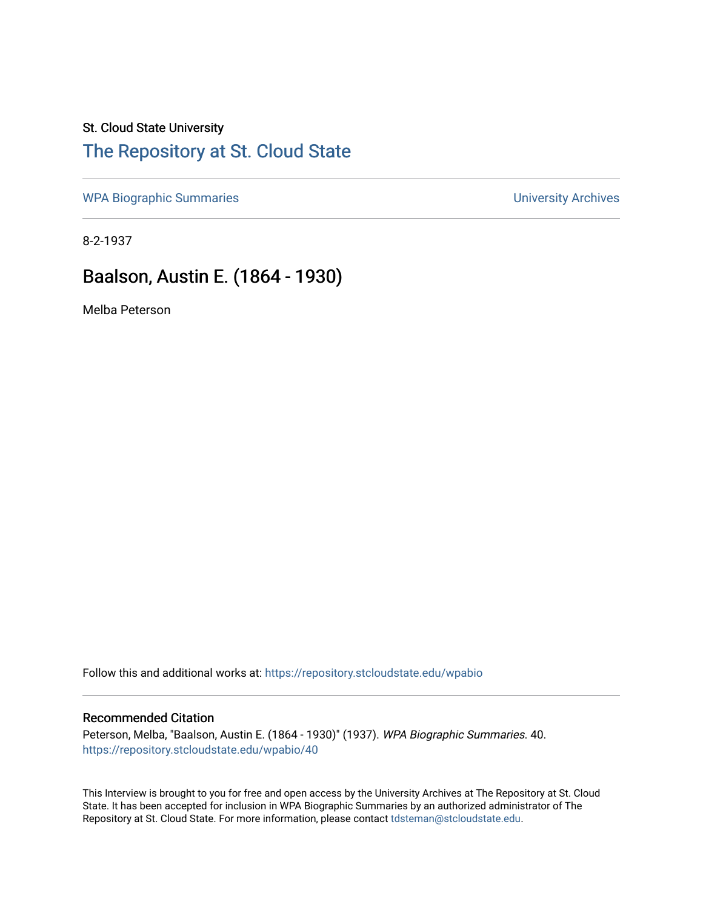#### St. Cloud State University

### [The Repository at St. Cloud State](https://repository.stcloudstate.edu/)

[WPA Biographic Summaries](https://repository.stcloudstate.edu/wpabio) **WPA Biographic Summaries University Archives** 

8-2-1937

## Baalson, Austin E. (1864 - 1930)

Melba Peterson

Follow this and additional works at: [https://repository.stcloudstate.edu/wpabio](https://repository.stcloudstate.edu/wpabio?utm_source=repository.stcloudstate.edu%2Fwpabio%2F40&utm_medium=PDF&utm_campaign=PDFCoverPages) 

#### Recommended Citation

Peterson, Melba, "Baalson, Austin E. (1864 - 1930)" (1937). WPA Biographic Summaries. 40. [https://repository.stcloudstate.edu/wpabio/40](https://repository.stcloudstate.edu/wpabio/40?utm_source=repository.stcloudstate.edu%2Fwpabio%2F40&utm_medium=PDF&utm_campaign=PDFCoverPages)

This Interview is brought to you for free and open access by the University Archives at The Repository at St. Cloud State. It has been accepted for inclusion in WPA Biographic Summaries by an authorized administrator of The Repository at St. Cloud State. For more information, please contact [tdsteman@stcloudstate.edu.](mailto:tdsteman@stcloudstate.edu)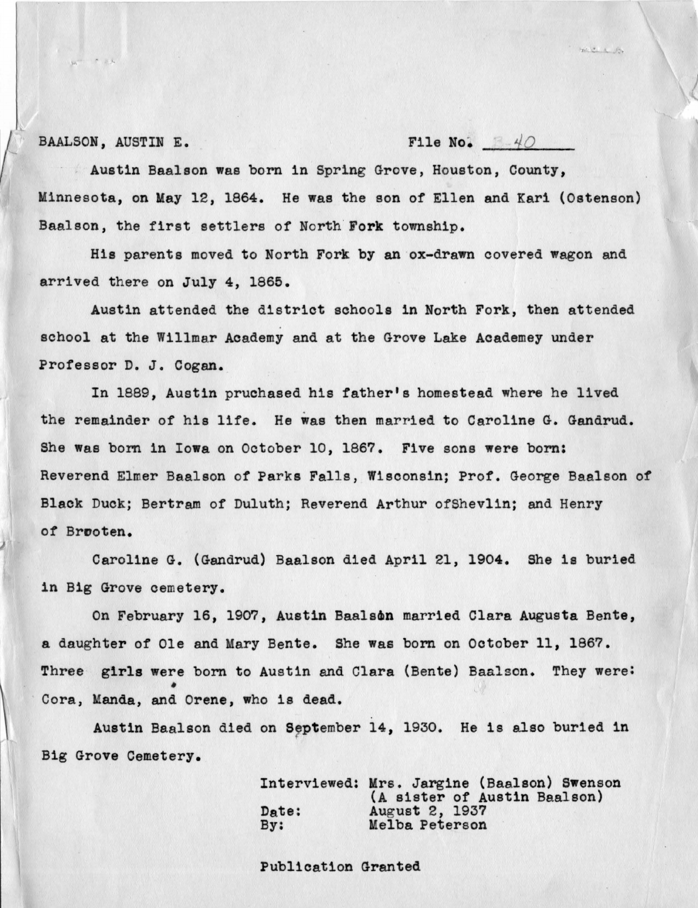BAALSON, AUSTINE. File No.  $\cancel{40}$ 

Austin Baalson was born in Spring Grove, Houston, County, Minnesota, on May 12, 1864. He was the son of Ellen and Kari (Ostenson) Baalson, the first settlers of North Fork township.

His parents moved to North Fork by an ox-drawn covered wagon and arrived there on July 4, 1865.

Austin attended the district sohools in North Fork, then attended school at the Willmar Academy and at the Grove Lake Academey under Professor D. J. Cogan. \_

In 1889, Austin pruchased his father's homestead where he lived the remainder of his life. He was then married to Caroline G. Gandrud. She was bom in **Iowa** on October 10, 1867. Five sons **were** born: Reverend Elmer Baalson of Parks Falls, Wisconsin; Prof. George Baalson of Black Duck; Bertram of Duluth; Reverend Arthur of Shevlin; and Henry of Brooten.

Caroline G. (Gandrud) Baalson died 4pril 21, 1904. She is buried in Big Grove cemetery.

On February 16, 1907, Austin Baalson married Clara Augusta Bente, a daughter of Ole and Mary Bente. She was born on October 11, 1867. Three girls were born to Austin and Clara (Bente) Baalson. They were: Cora, Manda, and Orene, who is dead.

Austin Baalson died on September 14, 1930. He is also buried in *(*  Big Grove Cemetery.

> Interviewed: Mrs. Jargine (Baalson) Swenson (A sister of Austin Baalson) Date: August 2, 1937<br>By: Melba Peterson Melba Peterson

Publication Granted